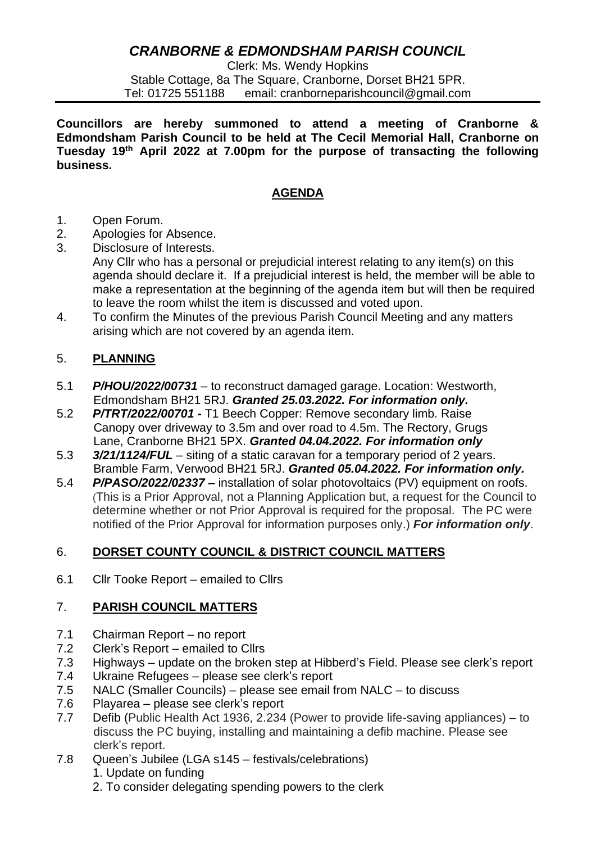# *CRANBORNE & EDMONDSHAM PARISH COUNCIL*

Clerk: Ms. Wendy Hopkins Stable Cottage, 8a The Square, Cranborne, Dorset BH21 5PR. Tel: 01725 551188 email: cranborneparishcouncil@gmail.com

**Councillors are hereby summoned to attend a meeting of Cranborne & Edmondsham Parish Council to be held at The Cecil Memorial Hall, Cranborne on Tuesday 19th April 2022 at 7.00pm for the purpose of transacting the following business.**

## **AGENDA**

- 1. Open Forum.
- 2. Apologies for Absence.
- 3. Disclosure of Interests.
	- Any Cllr who has a personal or prejudicial interest relating to any item(s) on this agenda should declare it. If a prejudicial interest is held, the member will be able to make a representation at the beginning of the agenda item but will then be required to leave the room whilst the item is discussed and voted upon.
- 4. To confirm the Minutes of the previous Parish Council Meeting and any matters arising which are not covered by an agenda item.

## 5. **PLANNING**

- 5.1 *P/HOU/2022/00731* to reconstruct damaged garage. Location: Westworth, Edmondsham BH21 5RJ. *Granted 25.03.2022. For information only.*
- 5.2 *P/TRT/2022/00701 -* T1 Beech Copper: Remove secondary limb. Raise Canopy over driveway to 3.5m and over road to 4.5m. The Rectory, Grugs Lane, Cranborne BH21 5PX. *Granted 04.04.2022. For information only*
- 5.3 *3/21/1124/FUL* siting of a static caravan for a temporary period of 2 years. Bramble Farm, Verwood BH21 5RJ. *Granted 05.04.2022. For information only.*
- 5.4 *P/PASO/2022/02337 –* installation of solar photovoltaics (PV) equipment on roofs. (This is a Prior Approval, not a Planning Application but, a request for the Council to determine whether or not Prior Approval is required for the proposal. The PC were notified of the Prior Approval for information purposes only.) *For information only*.

### 6. **DORSET COUNTY COUNCIL & DISTRICT COUNCIL MATTERS**

6.1 Cllr Tooke Report – emailed to Cllrs

# 7. **PARISH COUNCIL MATTERS**

- 7.1 Chairman Report no report
- 7.2 Clerk's Report emailed to Cllrs
- 7.3 Highways update on the broken step at Hibberd's Field. Please see clerk's report
- 7.4 Ukraine Refugees please see clerk's report
- 7.5 NALC (Smaller Councils) please see email from NALC to discuss
- 7.6 Playarea please see clerk's report
- 7.7 Defib (Public Health Act 1936, 2.234 (Power to provide life-saving appliances) to discuss the PC buying, installing and maintaining a defib machine. Please see clerk's report.
- 7.8 Queen's Jubilee (LGA s145 festivals/celebrations)
	- 1. Update on funding
	- 2. To consider delegating spending powers to the clerk